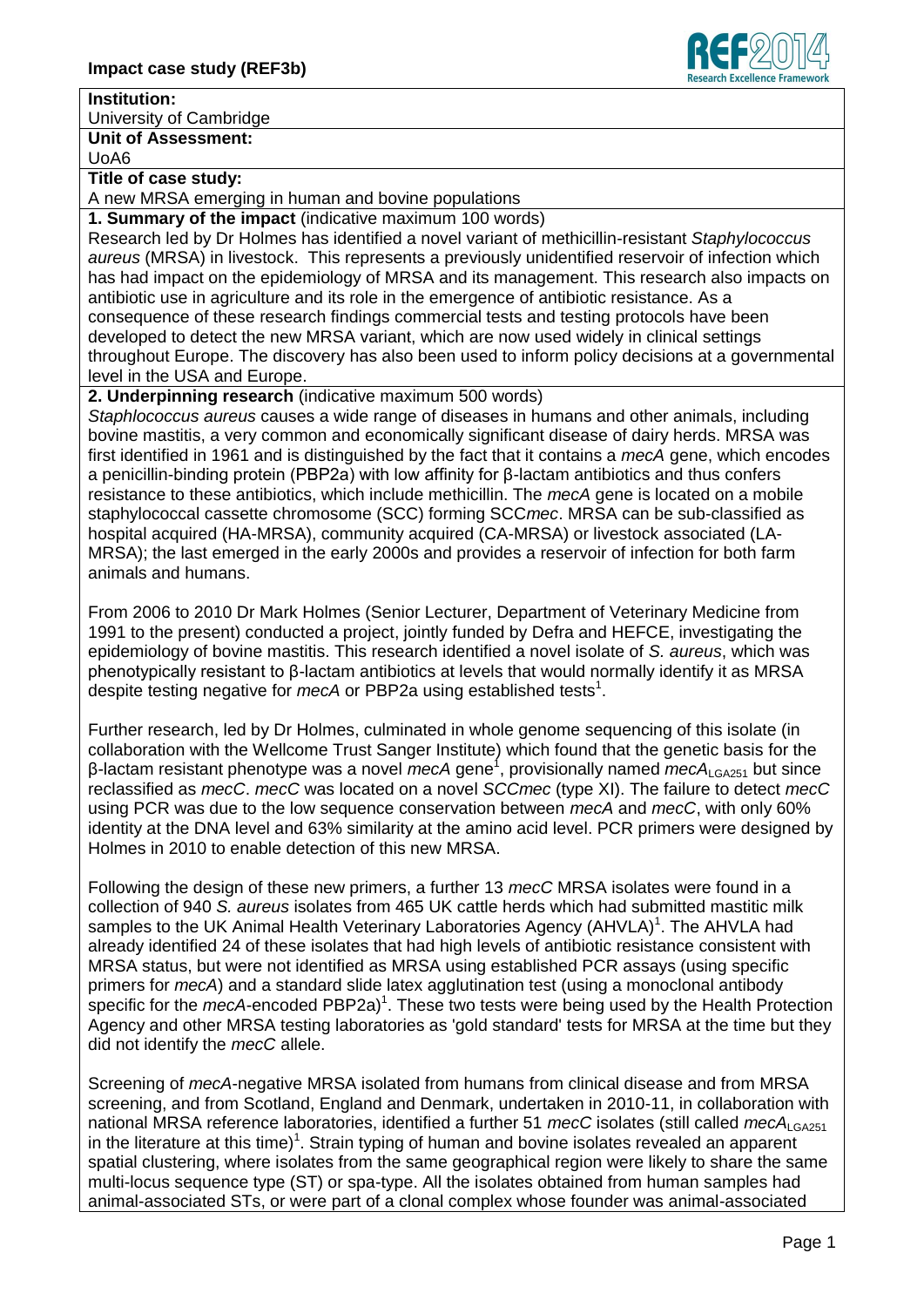## **Institution:**

University of Cambridge

**Unit of Assessment:**

UoA6

**Title of case study:**

A new MRSA emerging in human and bovine populations

**1. Summary of the impact** (indicative maximum 100 words)

Research led by Dr Holmes has identified a novel variant of methicillin-resistant *Staphylococcus aureus* (MRSA) in livestock. This represents a previously unidentified reservoir of infection which has had impact on the epidemiology of MRSA and its management. This research also impacts on antibiotic use in agriculture and its role in the emergence of antibiotic resistance. As a consequence of these research findings commercial tests and testing protocols have been developed to detect the new MRSA variant, which are now used widely in clinical settings throughout Europe. The discovery has also been used to inform policy decisions at a governmental level in the USA and Europe.

**2. Underpinning research** (indicative maximum 500 words)

*Staphlococcus aureus* causes a wide range of diseases in humans and other animals, including bovine mastitis, a very common and economically significant disease of dairy herds. MRSA was first identified in 1961 and is distinguished by the fact that it contains a *mecA* gene, which encodes a penicillin-binding protein (PBP2a) with low affinity for β-lactam antibiotics and thus confers resistance to these antibiotics, which include methicillin. The *mecA* gene is located on a mobile staphylococcal cassette chromosome (SCC) forming SCC*mec*. MRSA can be sub-classified as hospital acquired (HA-MRSA), community acquired (CA-MRSA) or livestock associated (LA-MRSA); the last emerged in the early 2000s and provides a reservoir of infection for both farm animals and humans.

From 2006 to 2010 Dr Mark Holmes (Senior Lecturer, Department of Veterinary Medicine from 1991 to the present) conducted a project, jointly funded by Defra and HEFCE, investigating the epidemiology of bovine mastitis. This research identified a novel isolate of *S. aureus*, which was phenotypically resistant to β-lactam antibiotics at levels that would normally identify it as MRSA despite testing negative for *mecA* or PBP2a using established tests<sup>1</sup>.

Further research, led by Dr Holmes, culminated in whole genome sequencing of this isolate (in collaboration with the Wellcome Trust Sanger Institute) which found that the genetic basis for the β-lactam resistant phenotype was a novel *mecA* gene<sup>1</sup>, provisionally named *mecA*<sub>LGA251</sub> but since reclassified as *mecC*. *mecC* was located on a novel *SCCmec* (type XI). The failure to detect *mecC* using PCR was due to the low sequence conservation between *mecA* and *mecC*, with only 60% identity at the DNA level and 63% similarity at the amino acid level. PCR primers were designed by Holmes in 2010 to enable detection of this new MRSA.

Following the design of these new primers, a further 13 *mecC* MRSA isolates were found in a collection of 940 *S. aureus* isolates from 465 UK cattle herds which had submitted mastitic milk samples to the UK Animal Health Veterinary Laboratories Agency (AHVLA)<sup>1</sup>. The AHVLA had already identified 24 of these isolates that had high levels of antibiotic resistance consistent with MRSA status, but were not identified as MRSA using established PCR assays (using specific primers for *mecA*) and a standard slide latex agglutination test (using a monoclonal antibody specific for the *mecA*-encoded PBP2a)<sup>1</sup>. These two tests were being used by the Health Protection Agency and other MRSA testing laboratories as 'gold standard' tests for MRSA at the time but they did not identify the *mecC* allele.

Screening of *mecA*-negative MRSA isolated from humans from clinical disease and from MRSA screening, and from Scotland, England and Denmark, undertaken in 2010-11, in collaboration with national MRSA reference laboratories, identified a further 51 mecC isolates (still called mecA<sub>LGA251</sub> in the literature at this time)<sup>1</sup>. Strain typing of human and bovine isolates revealed an apparent spatial clustering, where isolates from the same geographical region were likely to share the same multi-locus sequence type (ST) or spa-type. All the isolates obtained from human samples had animal-associated STs, or were part of a clonal complex whose founder was animal-associated

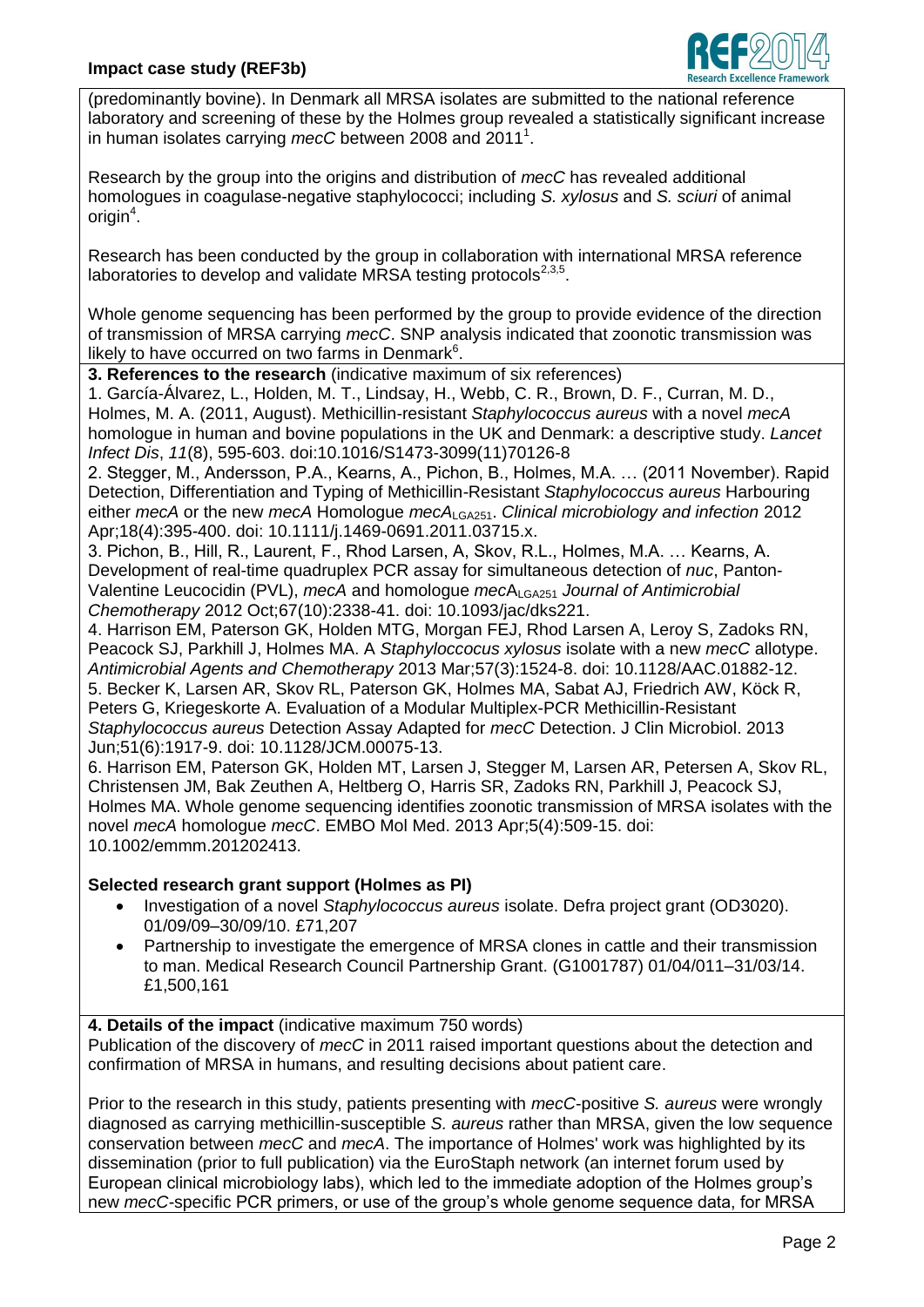

(predominantly bovine). In Denmark all MRSA isolates are submitted to the national reference laboratory and screening of these by the Holmes group revealed a statistically significant increase in human isolates carrying mecC between 2008 and 2011<sup>1</sup>.

Research by the group into the origins and distribution of *mecC* has revealed additional homologues in coagulase-negative staphylococci; including *S. xylosus* and *S. sciuri* of animal origin $^4$ .

Research has been conducted by the group in collaboration with international MRSA reference laboratories to develop and validate MRSA testing protocols $^{2,3,5}$ .

Whole genome sequencing has been performed by the group to provide evidence of the direction of transmission of MRSA carrying *mecC*. SNP analysis indicated that zoonotic transmission was likely to have occurred on two farms in Denmark $6$ .

**3. References to the research** (indicative maximum of six references)

1. García-Álvarez, L., Holden, M. T., Lindsay, H., Webb, C. R., Brown, D. F., Curran, M. D., Holmes, M. A. (2011, August). Methicillin-resistant *Staphylococcus aureus* with a novel *mecA* homologue in human and bovine populations in the UK and Denmark: a descriptive study. *Lancet Infect Dis*, *11*(8), 595-603. doi:10.1016/S1473-3099(11)70126-8

2. Stegger, M., Andersson, P.A., Kearns, A., Pichon, B., Holmes, M.A. … (2011 November). Rapid Detection, Differentiation and Typing of Methicillin-Resistant *Staphylococcus aureus* Harbouring either *mecA* or the new *mecA* Homologue *mecA*LGA251. *Clinical microbiology and infection* 2012 Apr;18(4):395-400. doi: 10.1111/j.1469-0691.2011.03715.x.

3. Pichon, B., Hill, R., Laurent, F., Rhod Larsen, A, Skov, R.L., Holmes, M.A. … Kearns, A. Development of real-time quadruplex PCR assay for simultaneous detection of *nuc*, Panton-Valentine Leucocidin (PVL), *mecA* and homologue *mecA*<sub>LGA251</sub> *Journal of Antimicrobial Chemotherapy* 2012 Oct;67(10):2338-41. doi: 10.1093/jac/dks221.

4. Harrison EM, Paterson GK, Holden MTG, Morgan FEJ, Rhod Larsen A, Leroy S, Zadoks RN, Peacock SJ, Parkhill J, Holmes MA. A *Staphyloccocus xylosus* isolate with a new *mecC* allotype. *Antimicrobial Agents and Chemotherapy* 2013 Mar;57(3):1524-8. doi: 10.1128/AAC.01882-12. 5. Becker K, Larsen AR, Skov RL, Paterson GK, Holmes MA, Sabat AJ, Friedrich AW, Köck R, Peters G, Kriegeskorte A. Evaluation of a Modular Multiplex-PCR Methicillin-Resistant *Staphylococcus aureus* Detection Assay Adapted for *mecC* Detection. J Clin Microbiol. 2013 Jun;51(6):1917-9. doi: 10.1128/JCM.00075-13.

6. Harrison EM, Paterson GK, Holden MT, Larsen J, Stegger M, Larsen AR, Petersen A, Skov RL, Christensen JM, Bak Zeuthen A, Heltberg O, Harris SR, Zadoks RN, Parkhill J, Peacock SJ, Holmes MA. Whole genome sequencing identifies zoonotic transmission of MRSA isolates with the novel *mecA* homologue *mecC*. EMBO Mol Med. 2013 Apr;5(4):509-15. doi: 10.1002/emmm.201202413.

## **Selected research grant support (Holmes as PI)**

- Investigation of a novel *Staphylococcus aureus* isolate. Defra project grant (OD3020). 01/09/09–30/09/10. £71,207
- Partnership to investigate the emergence of MRSA clones in cattle and their transmission to man. Medical Research Council Partnership Grant. (G1001787) 01/04/011–31/03/14. £1,500,161

## **4. Details of the impact** (indicative maximum 750 words)

Publication of the discovery of *mecC* in 2011 raised important questions about the detection and confirmation of MRSA in humans, and resulting decisions about patient care.

Prior to the research in this study, patients presenting with *mecC*-positive *S. aureus* were wrongly diagnosed as carrying methicillin-susceptible *S. aureus* rather than MRSA, given the low sequence conservation between *mecC* and *mecA*. The importance of Holmes' work was highlighted by its dissemination (prior to full publication) via the EuroStaph network (an internet forum used by European clinical microbiology labs), which led to the immediate adoption of the Holmes group's new *mecC-*specific PCR primers, or use of the group's whole genome sequence data, for MRSA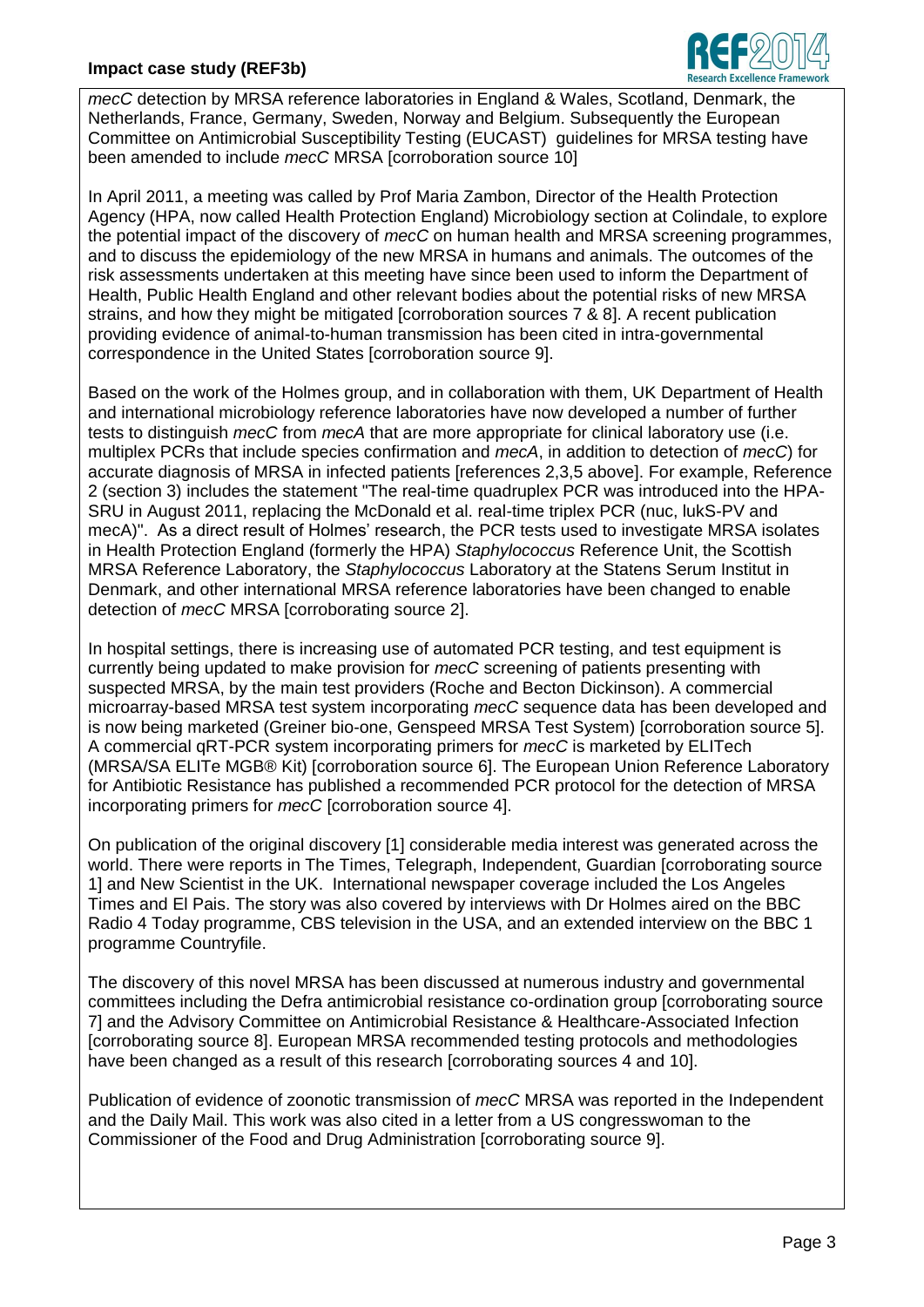

*mecC* detection by MRSA reference laboratories in England & Wales, Scotland, Denmark, the Netherlands, France, Germany, Sweden, Norway and Belgium. Subsequently the European Committee on Antimicrobial Susceptibility Testing (EUCAST) guidelines for MRSA testing have been amended to include *mecC* MRSA [corroboration source 10]

In April 2011, a meeting was called by Prof Maria Zambon, Director of the Health Protection Agency (HPA, now called Health Protection England) Microbiology section at Colindale, to explore the potential impact of the discovery of *mecC* on human health and MRSA screening programmes, and to discuss the epidemiology of the new MRSA in humans and animals. The outcomes of the risk assessments undertaken at this meeting have since been used to inform the Department of Health, Public Health England and other relevant bodies about the potential risks of new MRSA strains, and how they might be mitigated [corroboration sources 7 & 8]. A recent publication providing evidence of animal-to-human transmission has been cited in intra-governmental correspondence in the United States [corroboration source 9].

Based on the work of the Holmes group, and in collaboration with them, UK Department of Health and international microbiology reference laboratories have now developed a number of further tests to distinguish *mecC* from *mecA* that are more appropriate for clinical laboratory use (i.e. multiplex PCRs that include species confirmation and *mecA*, in addition to detection of *mecC*) for accurate diagnosis of MRSA in infected patients [references 2,3,5 above]. For example, Reference 2 (section 3) includes the statement "The real-time quadruplex PCR was introduced into the HPA-SRU in August 2011, replacing the McDonald et al. real-time triplex PCR (nuc, lukS-PV and mecA)". As a direct result of Holmes' research, the PCR tests used to investigate MRSA isolates in Health Protection England (formerly the HPA) *Staphylococcus* Reference Unit, the Scottish MRSA Reference Laboratory, the *Staphylococcus* Laboratory at the Statens Serum Institut in Denmark, and other international MRSA reference laboratories have been changed to enable detection of *mecC* MRSA [corroborating source 2].

In hospital settings, there is increasing use of automated PCR testing, and test equipment is currently being updated to make provision for *mecC* screening of patients presenting with suspected MRSA, by the main test providers (Roche and Becton Dickinson). A commercial microarray-based MRSA test system incorporating *mecC* sequence data has been developed and is now being marketed (Greiner bio-one, Genspeed MRSA Test System) [corroboration source 5]. A commercial qRT-PCR system incorporating primers for *mecC* is marketed by ELITech (MRSA/SA ELITe MGB® Kit) [corroboration source 6]. The European Union Reference Laboratory for Antibiotic Resistance has published a recommended PCR protocol for the detection of MRSA incorporating primers for *mecC* [corroboration source 4].

On publication of the original discovery [1] considerable media interest was generated across the world. There were reports in The Times, Telegraph, Independent, Guardian [corroborating source 1] and New Scientist in the UK. International newspaper coverage included the Los Angeles Times and El Pais. The story was also covered by interviews with Dr Holmes aired on the BBC Radio 4 Today programme, CBS television in the USA, and an extended interview on the BBC 1 programme Countryfile.

The discovery of this novel MRSA has been discussed at numerous industry and governmental committees including the Defra antimicrobial resistance co-ordination group [corroborating source 7] and the Advisory Committee on Antimicrobial Resistance & Healthcare-Associated Infection [corroborating source 8]. European MRSA recommended testing protocols and methodologies have been changed as a result of this research [corroborating sources 4 and 10].

Publication of evidence of zoonotic transmission of *mecC* MRSA was reported in the Independent and the Daily Mail. This work was also cited in a letter from a US congresswoman to the Commissioner of the Food and Drug Administration [corroborating source 9].